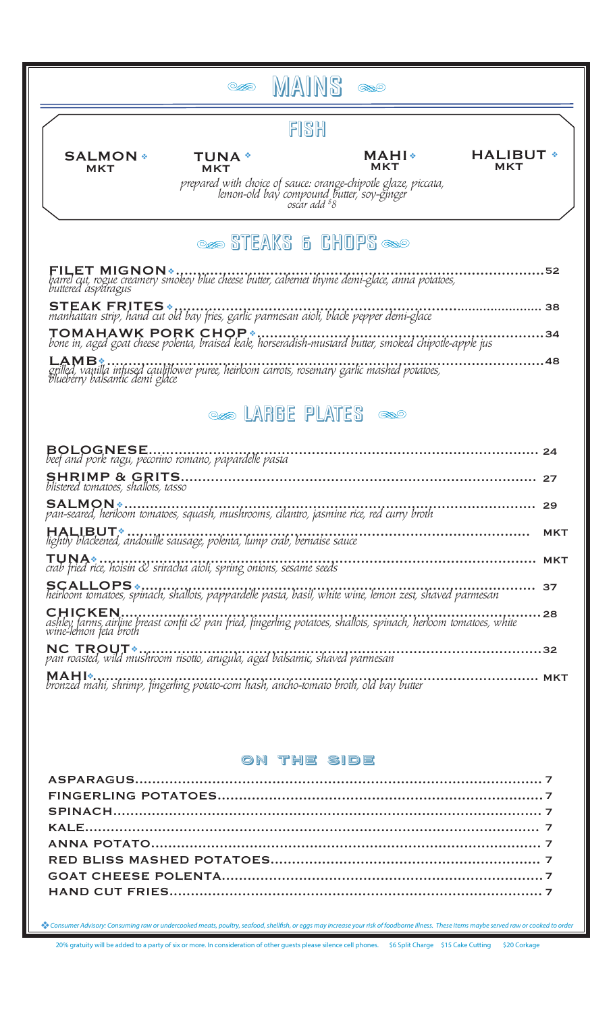| FISH<br><b>SALMON *</b><br>MAHI∗<br><b>TUNA</b> *<br><b>MKT</b><br><b>MKT</b><br><b>MKT</b><br>prepared with choice of sauce: orange-chipotle glaze, piccata,<br>lemon-old bay compound butter, soy-ginger<br>oscar add ${}^{s}8$<br><b>STEAKS &amp; CHOPS SO</b><br><b>@@@@LARGE_PLATES_@@@</b><br><br><b>SALMON</b> * | <b>HALIBUT *</b><br><b>MKT</b><br>. 48 |
|-------------------------------------------------------------------------------------------------------------------------------------------------------------------------------------------------------------------------------------------------------------------------------------------------------------------------|----------------------------------------|
|                                                                                                                                                                                                                                                                                                                         |                                        |
|                                                                                                                                                                                                                                                                                                                         |                                        |
|                                                                                                                                                                                                                                                                                                                         |                                        |
|                                                                                                                                                                                                                                                                                                                         |                                        |
|                                                                                                                                                                                                                                                                                                                         |                                        |
|                                                                                                                                                                                                                                                                                                                         |                                        |
|                                                                                                                                                                                                                                                                                                                         |                                        |
|                                                                                                                                                                                                                                                                                                                         |                                        |
|                                                                                                                                                                                                                                                                                                                         |                                        |
|                                                                                                                                                                                                                                                                                                                         |                                        |
|                                                                                                                                                                                                                                                                                                                         | 27                                     |
|                                                                                                                                                                                                                                                                                                                         | 29                                     |
| lightly blackened, andouille sausage, polenta, lump crab, bernaise sauce                                                                                                                                                                                                                                                | <b>MKT</b>                             |
| crab fried rice, hoisin & sriracha aioli, spring onions, sesame seeds                                                                                                                                                                                                                                                   |                                        |
| <b>SCALLOPS</b>                                                                                                                                                                                                                                                                                                         | . 37                                   |
| ashley farms, airline breast confit & pan fried, fingerling potatoes, shallots, spinach, herloom tomatoes, white<br>wine-lemon feta broth                                                                                                                                                                               |                                        |
| pan roasted, wild mushroom risotto, arugula, aged balsamic, shaved parmesan                                                                                                                                                                                                                                             |                                        |
| bronzed mahi, shrimp, fingerling potato-corn hash, ancho-tomato broth, old bay butter                                                                                                                                                                                                                                   |                                        |
|                                                                                                                                                                                                                                                                                                                         |                                        |
| ON THE SIDE                                                                                                                                                                                                                                                                                                             |                                        |
|                                                                                                                                                                                                                                                                                                                         |                                        |
|                                                                                                                                                                                                                                                                                                                         |                                        |
|                                                                                                                                                                                                                                                                                                                         |                                        |
|                                                                                                                                                                                                                                                                                                                         |                                        |
|                                                                                                                                                                                                                                                                                                                         |                                        |

20% gratuity will be added to a party of six or more. In consideration of other guests please silence cell phones. \$6 Split Charge \$15 Cake Cutting \$20 Corkage